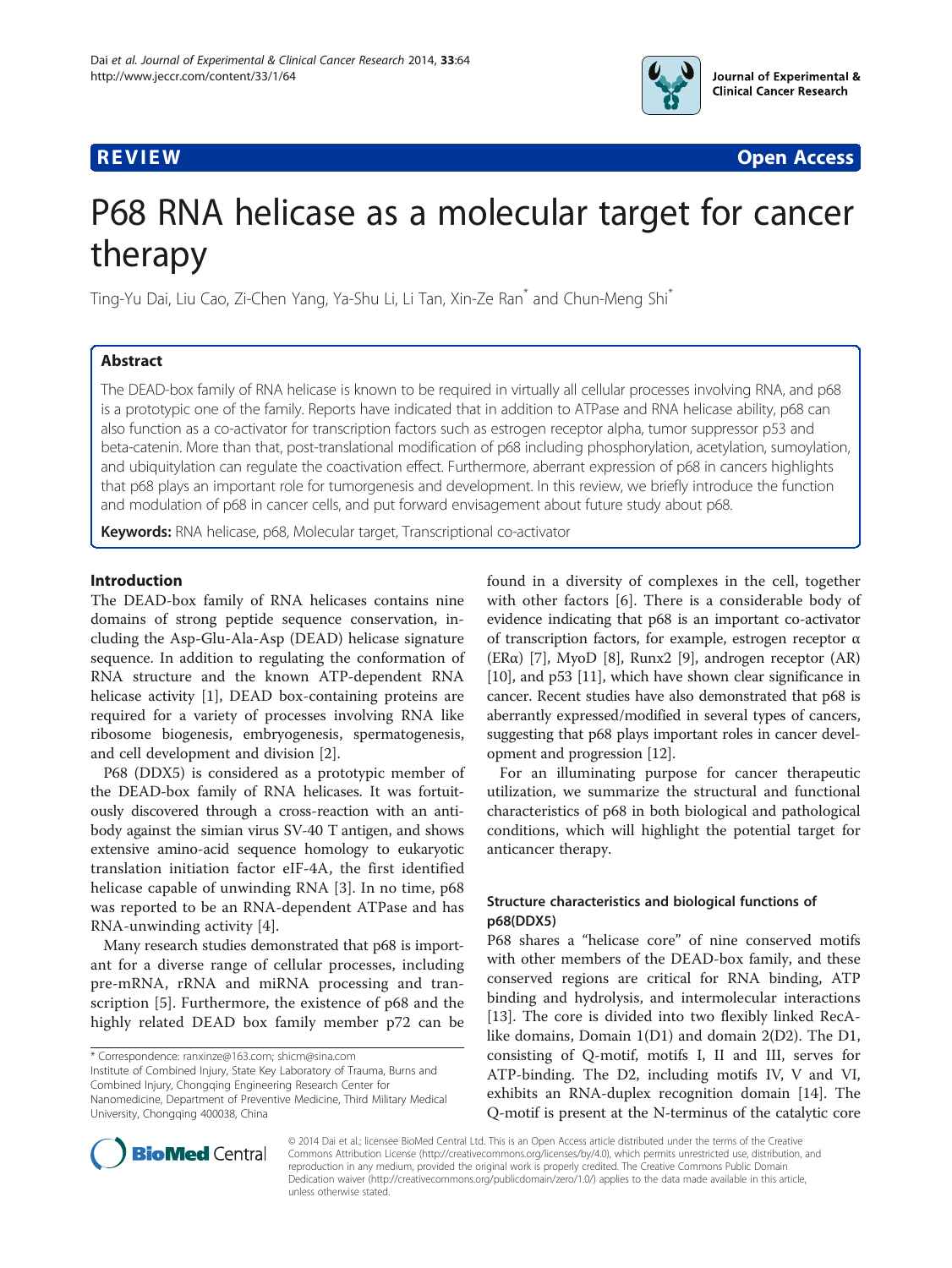

**REVIEW CONTROL** CONTROL CONTROL CONTROL CONTROL CONTROL CONTROL CONTROL CONTROL CONTROL CONTROL CONTROL CONTROL CONTROL CONTROL CONTROL CONTROL CONTROL CONTROL CONTROL CONTROL CONTROL CONTROL CONTROL CONTROL CONTROL CONTR

# P68 RNA helicase as a molecular target for cancer therapy

Ting-Yu Dai, Liu Cao, Zi-Chen Yang, Ya-Shu Li, Li Tan, Xin-Ze Ran\* and Chun-Meng Shi\*

# Abstract

The DEAD-box family of RNA helicase is known to be required in virtually all cellular processes involving RNA, and p68 is a prototypic one of the family. Reports have indicated that in addition to ATPase and RNA helicase ability, p68 can also function as a co-activator for transcription factors such as estrogen receptor alpha, tumor suppressor p53 and beta-catenin. More than that, post-translational modification of p68 including phosphorylation, acetylation, sumoylation, and ubiquitylation can regulate the coactivation effect. Furthermore, aberrant expression of p68 in cancers highlights that p68 plays an important role for tumorgenesis and development. In this review, we briefly introduce the function and modulation of p68 in cancer cells, and put forward envisagement about future study about p68.

Keywords: RNA helicase, p68, Molecular target, Transcriptional co-activator

# Introduction

The DEAD-box family of RNA helicases contains nine domains of strong peptide sequence conservation, including the Asp-Glu-Ala-Asp (DEAD) helicase signature sequence. In addition to regulating the conformation of RNA structure and the known ATP-dependent RNA helicase activity [\[1](#page-5-0)], DEAD box-containing proteins are required for a variety of processes involving RNA like ribosome biogenesis, embryogenesis, spermatogenesis, and cell development and division [[2\]](#page-5-0).

P68 (DDX5) is considered as a prototypic member of the DEAD-box family of RNA helicases. It was fortuitously discovered through a cross-reaction with an antibody against the simian virus SV-40 T antigen, and shows extensive amino-acid sequence homology to eukaryotic translation initiation factor eIF-4A, the first identified helicase capable of unwinding RNA [\[3](#page-5-0)]. In no time, p68 was reported to be an RNA-dependent ATPase and has RNA-unwinding activity [\[4](#page-5-0)].

Many research studies demonstrated that p68 is important for a diverse range of cellular processes, including pre-mRNA, rRNA and miRNA processing and transcription [[5\]](#page-5-0). Furthermore, the existence of p68 and the highly related DEAD box family member p72 can be

\* Correspondence: [ranxinze@163.com](mailto:ranxinze@163.com); [shicm@sina.com](mailto:shicm@sina.com)

Institute of Combined Injury, State Key Laboratory of Trauma, Burns and Combined Injury, Chongqing Engineering Research Center for Nanomedicine, Department of Preventive Medicine, Third Military Medical University, Chongqing 400038, China

found in a diversity of complexes in the cell, together with other factors [\[6](#page-5-0)]. There is a considerable body of evidence indicating that p68 is an important co-activator of transcription factors, for example, estrogen receptor α (ER $\alpha$ ) [\[7](#page-5-0)], MyoD [\[8](#page-5-0)], Runx2 [\[9](#page-5-0)], androgen receptor (AR) [[10](#page-5-0)], and p53 [\[11\]](#page-5-0), which have shown clear significance in cancer. Recent studies have also demonstrated that p68 is aberrantly expressed/modified in several types of cancers, suggesting that p68 plays important roles in cancer development and progression [[12\]](#page-6-0).

For an illuminating purpose for cancer therapeutic utilization, we summarize the structural and functional characteristics of p68 in both biological and pathological conditions, which will highlight the potential target for anticancer therapy.

# Structure characteristics and biological functions of p68(DDX5)

P68 shares a "helicase core" of nine conserved motifs with other members of the DEAD-box family, and these conserved regions are critical for RNA binding, ATP binding and hydrolysis, and intermolecular interactions [[13\]](#page-6-0). The core is divided into two flexibly linked RecAlike domains, Domain 1(D1) and domain 2(D2). The D1, consisting of Q-motif, motifs I, II and III, serves for ATP-binding. The D2, including motifs IV, V and VI, exhibits an RNA-duplex recognition domain [[14](#page-6-0)]. The Q-motif is present at the N-terminus of the catalytic core



© 2014 Dai et al.; licensee BioMed Central Ltd. This is an Open Access article distributed under the terms of the Creative Commons Attribution License [\(http://creativecommons.org/licenses/by/4.0\)](http://creativecommons.org/licenses/by/4.0), which permits unrestricted use, distribution, and reproduction in any medium, provided the original work is properly credited. The Creative Commons Public Domain Dedication waiver [\(http://creativecommons.org/publicdomain/zero/1.0/](http://creativecommons.org/publicdomain/zero/1.0/)) applies to the data made available in this article, unless otherwise stated.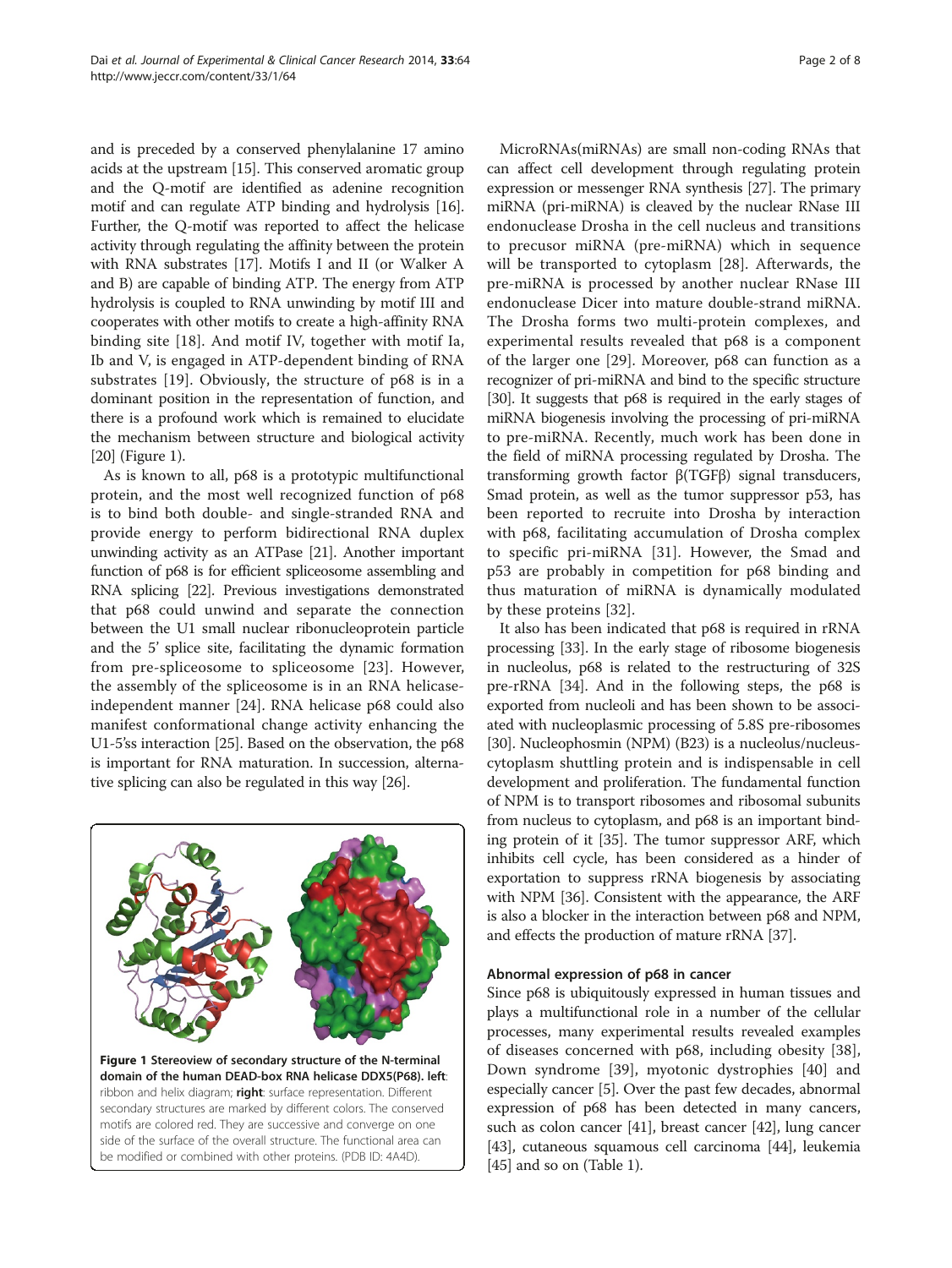and is preceded by a conserved phenylalanine 17 amino acids at the upstream [\[15\]](#page-6-0). This conserved aromatic group and the Q-motif are identified as adenine recognition motif and can regulate ATP binding and hydrolysis [[16](#page-6-0)]. Further, the Q-motif was reported to affect the helicase activity through regulating the affinity between the protein with RNA substrates [\[17\]](#page-6-0). Motifs I and II (or Walker A and B) are capable of binding ATP. The energy from ATP hydrolysis is coupled to RNA unwinding by motif III and cooperates with other motifs to create a high-affinity RNA binding site [[18\]](#page-6-0). And motif IV, together with motif Ia, Ib and V, is engaged in ATP-dependent binding of RNA substrates [\[19](#page-6-0)]. Obviously, the structure of p68 is in a dominant position in the representation of function, and there is a profound work which is remained to elucidate the mechanism between structure and biological activity

[[20](#page-6-0)] (Figure 1). As is known to all, p68 is a prototypic multifunctional protein, and the most well recognized function of p68 is to bind both double- and single-stranded RNA and provide energy to perform bidirectional RNA duplex unwinding activity as an ATPase [\[21\]](#page-6-0). Another important function of p68 is for efficient spliceosome assembling and RNA splicing [\[22](#page-6-0)]. Previous investigations demonstrated that p68 could unwind and separate the connection between the U1 small nuclear ribonucleoprotein particle and the 5' splice site, facilitating the dynamic formation from pre-spliceosome to spliceosome [\[23](#page-6-0)]. However, the assembly of the spliceosome is in an RNA helicaseindependent manner [[24](#page-6-0)]. RNA helicase p68 could also manifest conformational change activity enhancing the U1-5'ss interaction [\[25\]](#page-6-0). Based on the observation, the p68 is important for RNA maturation. In succession, alternative splicing can also be regulated in this way [[26](#page-6-0)].



MicroRNAs(miRNAs) are small non-coding RNAs that can affect cell development through regulating protein expression or messenger RNA synthesis [[27](#page-6-0)]. The primary miRNA (pri-miRNA) is cleaved by the nuclear RNase III endonuclease Drosha in the cell nucleus and transitions to precusor miRNA (pre-miRNA) which in sequence will be transported to cytoplasm [[28](#page-6-0)]. Afterwards, the pre-miRNA is processed by another nuclear RNase III endonuclease Dicer into mature double-strand miRNA. The Drosha forms two multi-protein complexes, and experimental results revealed that p68 is a component of the larger one [\[29](#page-6-0)]. Moreover, p68 can function as a recognizer of pri-miRNA and bind to the specific structure [[30](#page-6-0)]. It suggests that p68 is required in the early stages of miRNA biogenesis involving the processing of pri-miRNA to pre-miRNA. Recently, much work has been done in the field of miRNA processing regulated by Drosha. The transforming growth factor β(TGFβ) signal transducers, Smad protein, as well as the tumor suppressor p53, has been reported to recruite into Drosha by interaction with p68, facilitating accumulation of Drosha complex to specific pri-miRNA [[31\]](#page-6-0). However, the Smad and p53 are probably in competition for p68 binding and thus maturation of miRNA is dynamically modulated by these proteins [[32](#page-6-0)].

It also has been indicated that p68 is required in rRNA processing [\[33](#page-6-0)]. In the early stage of ribosome biogenesis in nucleolus, p68 is related to the restructuring of 32S pre-rRNA [\[34\]](#page-6-0). And in the following steps, the p68 is exported from nucleoli and has been shown to be associated with nucleoplasmic processing of 5.8S pre-ribosomes [[30](#page-6-0)]. Nucleophosmin (NPM) (B23) is a nucleolus/nucleuscytoplasm shuttling protein and is indispensable in cell development and proliferation. The fundamental function of NPM is to transport ribosomes and ribosomal subunits from nucleus to cytoplasm, and p68 is an important binding protein of it [[35](#page-6-0)]. The tumor suppressor ARF, which inhibits cell cycle, has been considered as a hinder of exportation to suppress rRNA biogenesis by associating with NPM [[36](#page-6-0)]. Consistent with the appearance, the ARF is also a blocker in the interaction between p68 and NPM, and effects the production of mature rRNA [[37](#page-6-0)].

# Abnormal expression of p68 in cancer

Since p68 is ubiquitously expressed in human tissues and plays a multifunctional role in a number of the cellular processes, many experimental results revealed examples of diseases concerned with p68, including obesity [\[38](#page-6-0)], Down syndrome [[39](#page-6-0)], myotonic dystrophies [[40\]](#page-6-0) and especially cancer [\[5](#page-5-0)]. Over the past few decades, abnormal expression of p68 has been detected in many cancers, such as colon cancer [[41](#page-6-0)], breast cancer [\[42](#page-6-0)], lung cancer [[43](#page-6-0)], cutaneous squamous cell carcinoma [\[44](#page-6-0)], leukemia [[45](#page-6-0)] and so on (Table [1](#page-2-0)).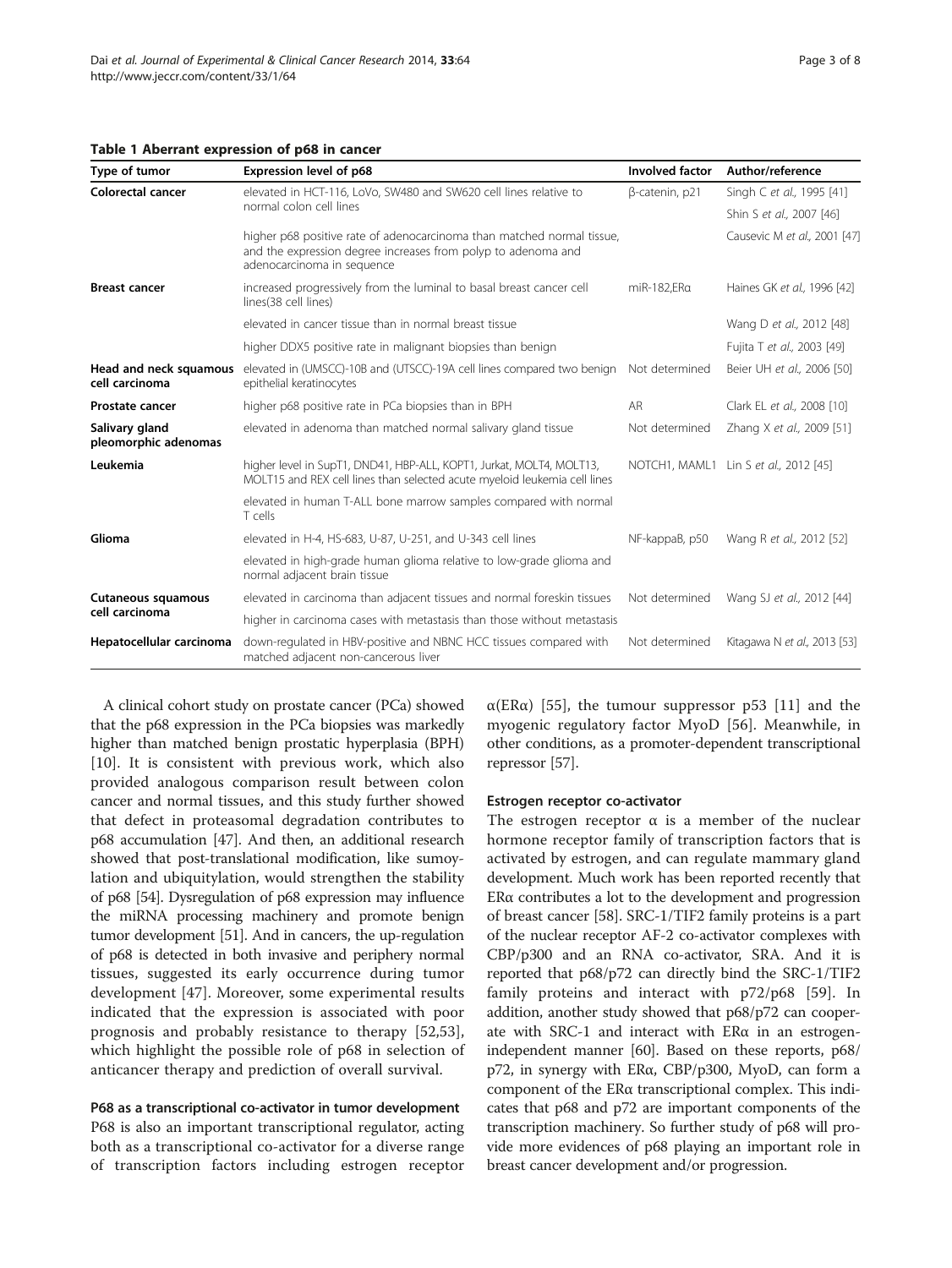<span id="page-2-0"></span>

| Table 1 Aberrant expression of p68 in cancer |  |  |  |  |
|----------------------------------------------|--|--|--|--|
|----------------------------------------------|--|--|--|--|

| Type of tumor                               | Expression level of p68                                                                                                                                               | <b>Involved factor</b> | Author/reference                      |
|---------------------------------------------|-----------------------------------------------------------------------------------------------------------------------------------------------------------------------|------------------------|---------------------------------------|
| Colorectal cancer                           | elevated in HCT-116, LoVo, SW480 and SW620 cell lines relative to<br>normal colon cell lines                                                                          | β-catenin, p21         | Singh C et al., 1995 [41]             |
|                                             |                                                                                                                                                                       |                        | Shin S et al., 2007 [46]              |
|                                             | higher p68 positive rate of adenocarcinoma than matched normal tissue,<br>and the expression degree increases from polyp to adenoma and<br>adenocarcinoma in sequence |                        | Causevic M et al., 2001 [47]          |
| <b>Breast cancer</b>                        | increased progressively from the luminal to basal breast cancer cell<br>lines(38 cell lines)                                                                          | miR-182,ERa            | Haines GK et al., 1996 [42]           |
|                                             | elevated in cancer tissue than in normal breast tissue                                                                                                                |                        | Wang D et al., 2012 [48]              |
|                                             | higher DDX5 positive rate in malignant biopsies than benign                                                                                                           |                        | Fujita T et al., 2003 [49]            |
| Head and neck squamous<br>cell carcinoma    | elevated in (UMSCC)-10B and (UTSCC)-19A cell lines compared two benign<br>epithelial keratinocytes                                                                    | Not determined         | Beier UH et al., 2006 [50]            |
| <b>Prostate cancer</b>                      | higher p68 positive rate in PCa biopsies than in BPH                                                                                                                  | AR                     | Clark EL et al., 2008 [10]            |
| Salivary gland<br>pleomorphic adenomas      | elevated in adenoma than matched normal salivary gland tissue                                                                                                         | Not determined         | Zhang X et al., 2009 [51]             |
| Leukemia                                    | higher level in SupT1, DND41, HBP-ALL, KOPT1, Jurkat, MOLT4, MOLT13,<br>MOLT15 and REX cell lines than selected acute myeloid leukemia cell lines                     |                        | NOTCH1, MAML1 Lin S et al., 2012 [45] |
|                                             | elevated in human T-ALL bone marrow samples compared with normal<br>T cells                                                                                           |                        |                                       |
| Glioma                                      | elevated in H-4, HS-683, U-87, U-251, and U-343 cell lines                                                                                                            | NF-kappaB, p50         | Wang R et al., 2012 [52]              |
|                                             | elevated in high-grade human glioma relative to low-grade glioma and<br>normal adjacent brain tissue                                                                  |                        |                                       |
| <b>Cutaneous squamous</b><br>cell carcinoma | elevated in carcinoma than adjacent tissues and normal foreskin tissues                                                                                               | Not determined         | Wang SJ et al., 2012 [44]             |
|                                             | higher in carcinoma cases with metastasis than those without metastasis                                                                                               |                        |                                       |
| Hepatocellular carcinoma                    | down-regulated in HBV-positive and NBNC HCC tissues compared with<br>matched adjacent non-cancerous liver                                                             | Not determined         | Kitagawa N et al., 2013 [53]          |

A clinical cohort study on prostate cancer (PCa) showed that the p68 expression in the PCa biopsies was markedly higher than matched benign prostatic hyperplasia (BPH) [[10\]](#page-5-0). It is consistent with previous work, which also provided analogous comparison result between colon cancer and normal tissues, and this study further showed that defect in proteasomal degradation contributes to p68 accumulation [\[47](#page-6-0)]. And then, an additional research showed that post-translational modification, like sumoylation and ubiquitylation, would strengthen the stability of p68 [\[54](#page-6-0)]. Dysregulation of p68 expression may influence the miRNA processing machinery and promote benign tumor development [\[51\]](#page-6-0). And in cancers, the up-regulation of p68 is detected in both invasive and periphery normal tissues, suggested its early occurrence during tumor development [[47\]](#page-6-0). Moreover, some experimental results indicated that the expression is associated with poor prognosis and probably resistance to therapy [[52,53](#page-6-0)], which highlight the possible role of p68 in selection of anticancer therapy and prediction of overall survival.

# P68 as a transcriptional co-activator in tumor development

P68 is also an important transcriptional regulator, acting both as a transcriptional co-activator for a diverse range of transcription factors including estrogen receptor  $\alpha$ (ER $\alpha$ ) [[55\]](#page-6-0), the tumour suppressor p53 [[11\]](#page-5-0) and the myogenic regulatory factor MyoD [\[56](#page-6-0)]. Meanwhile, in other conditions, as a promoter-dependent transcriptional repressor [\[57\]](#page-6-0).

#### Estrogen receptor co-activator

The estrogen receptor  $\alpha$  is a member of the nuclear hormone receptor family of transcription factors that is activated by estrogen, and can regulate mammary gland development. Much work has been reported recently that ERα contributes a lot to the development and progression of breast cancer [[58](#page-6-0)]. SRC-1/TIF2 family proteins is a part of the nuclear receptor AF-2 co-activator complexes with CBP/p300 and an RNA co-activator, SRA. And it is reported that p68/p72 can directly bind the SRC-1/TIF2 family proteins and interact with p72/p68 [[59\]](#page-7-0). In addition, another study showed that p68/p72 can cooperate with SRC-1 and interact with ERα in an estrogenindependent manner [[60](#page-7-0)]. Based on these reports, p68/ p72, in synergy with ERα, CBP/p300, MyoD, can form a component of the ERα transcriptional complex. This indicates that p68 and p72 are important components of the transcription machinery. So further study of p68 will provide more evidences of p68 playing an important role in breast cancer development and/or progression.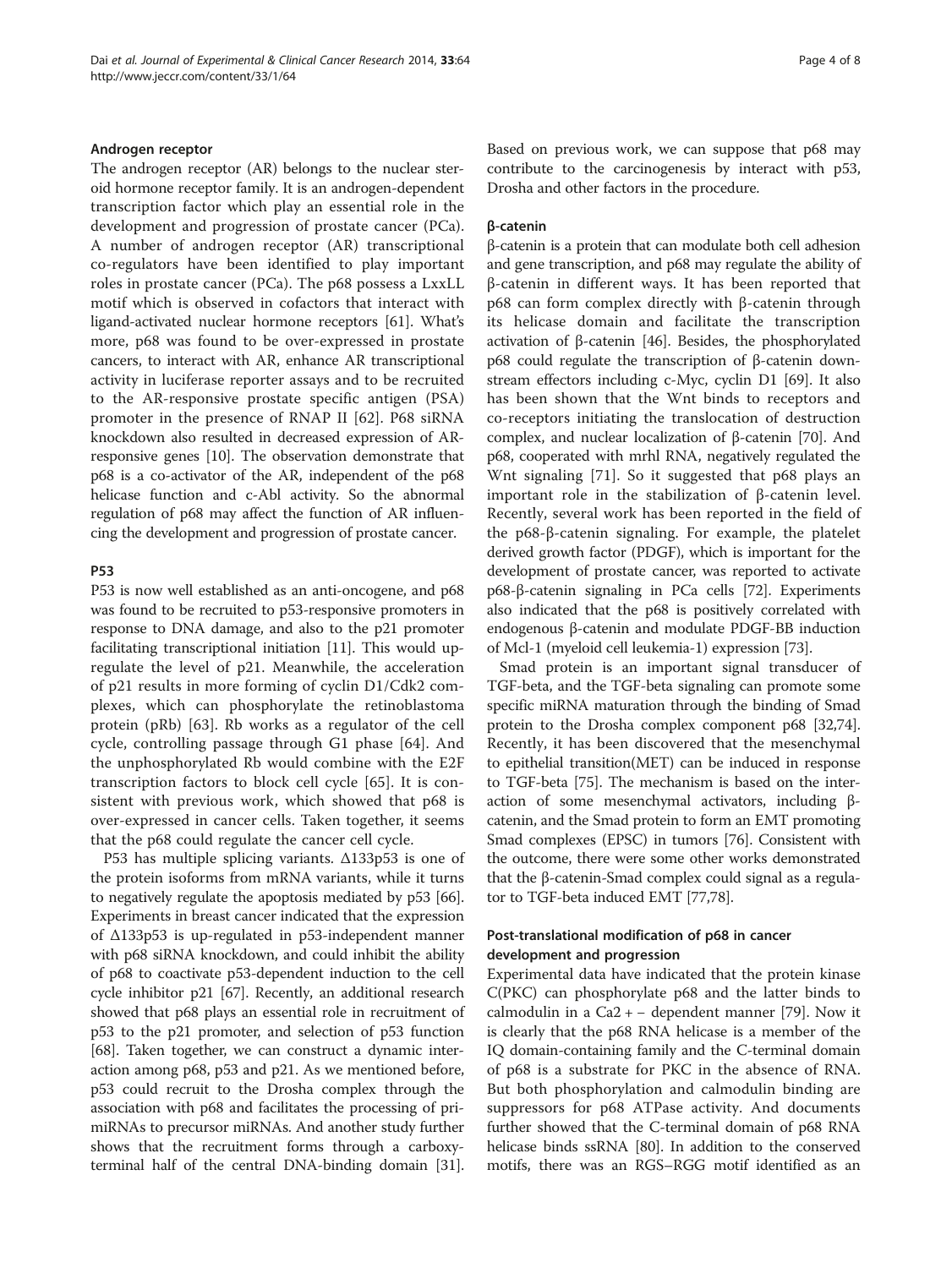#### Androgen receptor

The androgen receptor (AR) belongs to the nuclear steroid hormone receptor family. It is an androgen-dependent transcription factor which play an essential role in the development and progression of prostate cancer (PCa). A number of androgen receptor (AR) transcriptional co-regulators have been identified to play important roles in prostate cancer (PCa). The p68 possess a LxxLL motif which is observed in cofactors that interact with ligand-activated nuclear hormone receptors [[61\]](#page-7-0). What's more, p68 was found to be over-expressed in prostate cancers, to interact with AR, enhance AR transcriptional activity in luciferase reporter assays and to be recruited to the AR-responsive prostate specific antigen (PSA) promoter in the presence of RNAP II [[62\]](#page-7-0). P68 siRNA knockdown also resulted in decreased expression of ARresponsive genes [[10\]](#page-5-0). The observation demonstrate that p68 is a co-activator of the AR, independent of the p68 helicase function and c-Abl activity. So the abnormal regulation of p68 may affect the function of AR influencing the development and progression of prostate cancer.

#### P53

P53 is now well established as an anti-oncogene, and p68 was found to be recruited to p53-responsive promoters in response to DNA damage, and also to the p21 promoter facilitating transcriptional initiation [[11](#page-5-0)]. This would upregulate the level of p21. Meanwhile, the acceleration of p21 results in more forming of cyclin D1/Cdk2 complexes, which can phosphorylate the retinoblastoma protein (pRb) [[63](#page-7-0)]. Rb works as a regulator of the cell cycle, controlling passage through G1 phase [\[64](#page-7-0)]. And the unphosphorylated Rb would combine with the E2F transcription factors to block cell cycle [\[65](#page-7-0)]. It is consistent with previous work, which showed that p68 is over-expressed in cancer cells. Taken together, it seems that the p68 could regulate the cancer cell cycle.

P53 has multiple splicing variants. Δ133p53 is one of the protein isoforms from mRNA variants, while it turns to negatively regulate the apoptosis mediated by p53 [[66](#page-7-0)]. Experiments in breast cancer indicated that the expression of Δ133p53 is up-regulated in p53-independent manner with p68 siRNA knockdown, and could inhibit the ability of p68 to coactivate p53-dependent induction to the cell cycle inhibitor p21 [[67\]](#page-7-0). Recently, an additional research showed that p68 plays an essential role in recruitment of p53 to the p21 promoter, and selection of p53 function [[68](#page-7-0)]. Taken together, we can construct a dynamic interaction among p68, p53 and p21. As we mentioned before, p53 could recruit to the Drosha complex through the association with p68 and facilitates the processing of primiRNAs to precursor miRNAs. And another study further shows that the recruitment forms through a carboxyterminal half of the central DNA-binding domain [[31](#page-6-0)]. Based on previous work, we can suppose that p68 may contribute to the carcinogenesis by interact with p53, Drosha and other factors in the procedure.

# β-catenin

β-catenin is a protein that can modulate both cell adhesion and gene transcription, and p68 may regulate the ability of β-catenin in different ways. It has been reported that p68 can form complex directly with β-catenin through its helicase domain and facilitate the transcription activation of β-catenin [[46\]](#page-6-0). Besides, the phosphorylated p68 could regulate the transcription of β-catenin downstream effectors including c-Myc, cyclin D1 [[69](#page-7-0)]. It also has been shown that the Wnt binds to receptors and co-receptors initiating the translocation of destruction complex, and nuclear localization of β-catenin [[70](#page-7-0)]. And p68, cooperated with mrhl RNA, negatively regulated the Wnt signaling [[71\]](#page-7-0). So it suggested that p68 plays an important role in the stabilization of β-catenin level. Recently, several work has been reported in the field of the p68-β-catenin signaling. For example, the platelet derived growth factor (PDGF), which is important for the development of prostate cancer, was reported to activate p68-β-catenin signaling in PCa cells [\[72\]](#page-7-0). Experiments also indicated that the p68 is positively correlated with endogenous β-catenin and modulate PDGF-BB induction of Mcl-1 (myeloid cell leukemia-1) expression [[73](#page-7-0)].

Smad protein is an important signal transducer of TGF-beta, and the TGF-beta signaling can promote some specific miRNA maturation through the binding of Smad protein to the Drosha complex component p68 [\[32,](#page-6-0)[74](#page-7-0)]. Recently, it has been discovered that the mesenchymal to epithelial transition(MET) can be induced in response to TGF-beta [\[75\]](#page-7-0). The mechanism is based on the interaction of some mesenchymal activators, including βcatenin, and the Smad protein to form an EMT promoting Smad complexes (EPSC) in tumors [\[76\]](#page-7-0). Consistent with the outcome, there were some other works demonstrated that the β-catenin-Smad complex could signal as a regulator to TGF-beta induced EMT [[77,78](#page-7-0)].

# Post-translational modification of p68 in cancer development and progression

Experimental data have indicated that the protein kinase C(PKC) can phosphorylate p68 and the latter binds to calmodulin in a  $Ca2 + -$  dependent manner [[79](#page-7-0)]. Now it is clearly that the p68 RNA helicase is a member of the IQ domain-containing family and the C-terminal domain of p68 is a substrate for PKC in the absence of RNA. But both phosphorylation and calmodulin binding are suppressors for p68 ATPase activity. And documents further showed that the C-terminal domain of p68 RNA helicase binds ssRNA [[80](#page-7-0)]. In addition to the conserved motifs, there was an RGS–RGG motif identified as an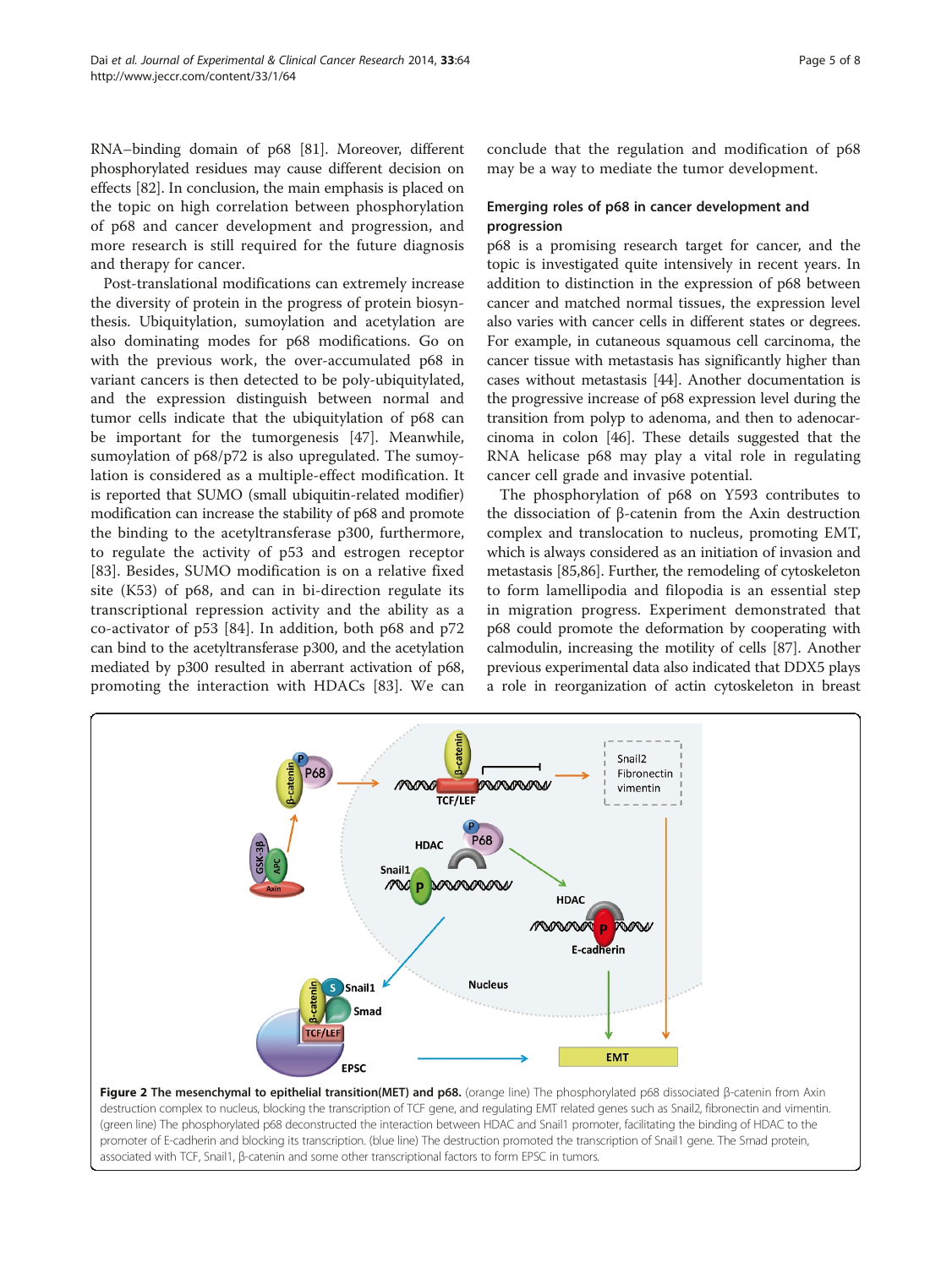<span id="page-4-0"></span>RNA–binding domain of p68 [[81](#page-7-0)]. Moreover, different phosphorylated residues may cause different decision on effects [\[82\]](#page-7-0). In conclusion, the main emphasis is placed on the topic on high correlation between phosphorylation of p68 and cancer development and progression, and more research is still required for the future diagnosis and therapy for cancer.

Post-translational modifications can extremely increase the diversity of protein in the progress of protein biosynthesis. Ubiquitylation, sumoylation and acetylation are also dominating modes for p68 modifications. Go on with the previous work, the over-accumulated p68 in variant cancers is then detected to be poly-ubiquitylated, and the expression distinguish between normal and tumor cells indicate that the ubiquitylation of p68 can be important for the tumorgenesis [[47\]](#page-6-0). Meanwhile, sumoylation of p68/p72 is also upregulated. The sumoylation is considered as a multiple-effect modification. It is reported that SUMO (small ubiquitin-related modifier) modification can increase the stability of p68 and promote the binding to the acetyltransferase p300, furthermore, to regulate the activity of p53 and estrogen receptor [[83\]](#page-7-0). Besides, SUMO modification is on a relative fixed site (K53) of p68, and can in bi-direction regulate its transcriptional repression activity and the ability as a co-activator of p53 [[84\]](#page-7-0). In addition, both p68 and p72 can bind to the acetyltransferase p300, and the acetylation mediated by p300 resulted in aberrant activation of p68, promoting the interaction with HDACs [[83\]](#page-7-0). We can conclude that the regulation and modification of p68 may be a way to mediate the tumor development.

# Emerging roles of p68 in cancer development and progression

p68 is a promising research target for cancer, and the topic is investigated quite intensively in recent years. In addition to distinction in the expression of p68 between cancer and matched normal tissues, the expression level also varies with cancer cells in different states or degrees. For example, in cutaneous squamous cell carcinoma, the cancer tissue with metastasis has significantly higher than cases without metastasis [[44](#page-6-0)]. Another documentation is the progressive increase of p68 expression level during the transition from polyp to adenoma, and then to adenocarcinoma in colon [\[46\]](#page-6-0). These details suggested that the RNA helicase p68 may play a vital role in regulating cancer cell grade and invasive potential.

The phosphorylation of p68 on Y593 contributes to the dissociation of β-catenin from the Axin destruction complex and translocation to nucleus, promoting EMT, which is always considered as an initiation of invasion and metastasis [\[85,86\]](#page-7-0). Further, the remodeling of cytoskeleton to form lamellipodia and filopodia is an essential step in migration progress. Experiment demonstrated that p68 could promote the deformation by cooperating with calmodulin, increasing the motility of cells [\[87](#page-7-0)]. Another previous experimental data also indicated that DDX5 plays a role in reorganization of actin cytoskeleton in breast



Figure 2 The mesenchymal to epithelial transition(MET) and p68. (orange line) The phosphorylated p68 dissociated β-catenin from Axin destruction complex to nucleus, blocking the transcription of TCF gene, and regulating EMT related genes such as Snail2, fibronectin and vimentin. (green line) The phosphorylated p68 deconstructed the interaction between HDAC and Snail1 promoter, facilitating the binding of HDAC to the promoter of E-cadherin and blocking its transcription. (blue line) The destruction promoted the transcription of Snail1 gene. The Smad protein, associated with TCF, Snail1, β-catenin and some other transcriptional factors to form EPSC in tumors.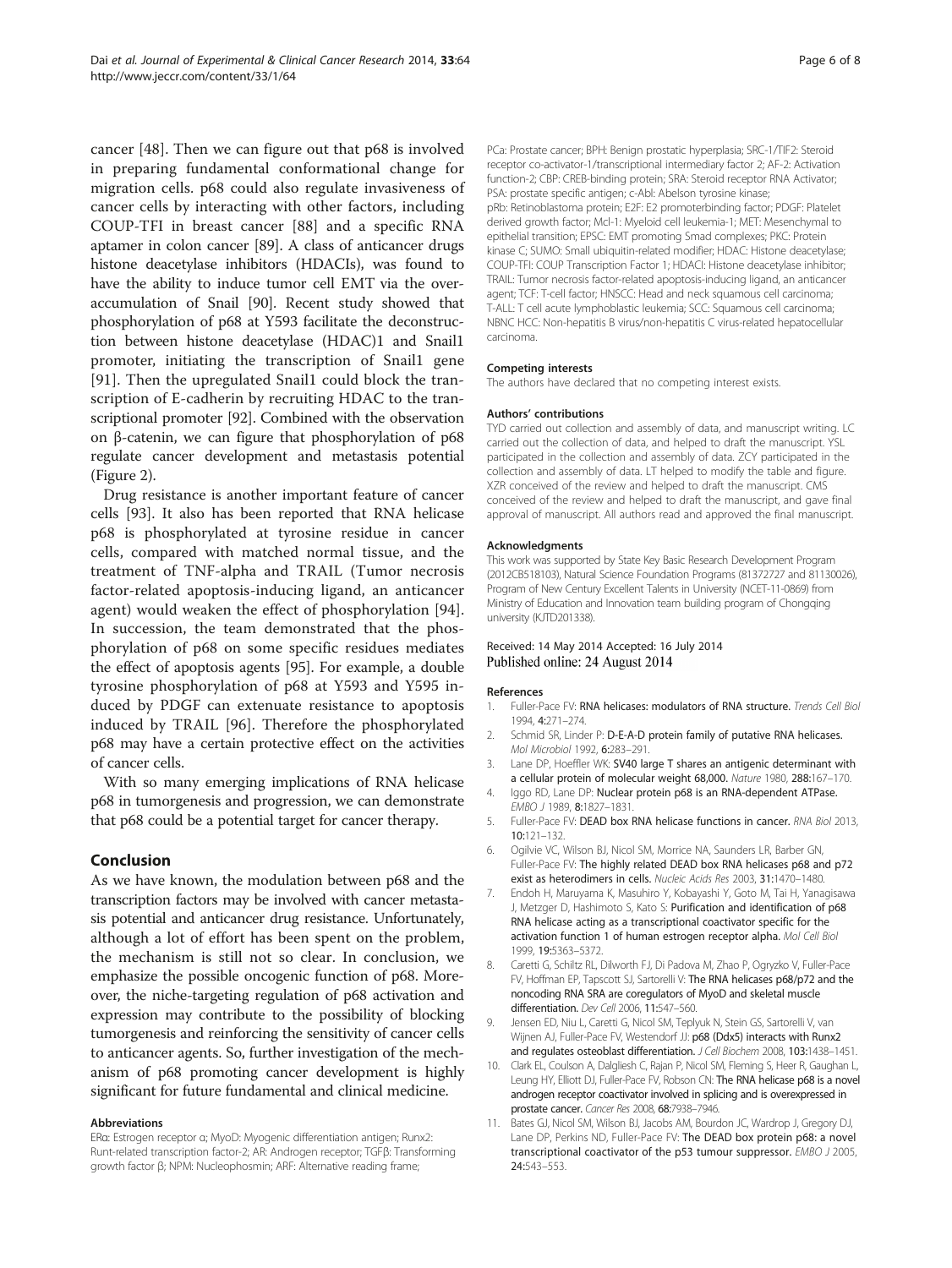<span id="page-5-0"></span>cancer [[48](#page-6-0)]. Then we can figure out that p68 is involved in preparing fundamental conformational change for migration cells. p68 could also regulate invasiveness of cancer cells by interacting with other factors, including COUP-TFI in breast cancer [[88](#page-7-0)] and a specific RNA aptamer in colon cancer [\[89\]](#page-7-0). A class of anticancer drugs histone deacetylase inhibitors (HDACIs), was found to have the ability to induce tumor cell EMT via the overaccumulation of Snail [\[90\]](#page-7-0). Recent study showed that phosphorylation of p68 at Y593 facilitate the deconstruction between histone deacetylase (HDAC)1 and Snail1 promoter, initiating the transcription of Snail1 gene [[91\]](#page-7-0). Then the upregulated Snail1 could block the transcription of E-cadherin by recruiting HDAC to the transcriptional promoter [\[92\]](#page-7-0). Combined with the observation on β-catenin, we can figure that phosphorylation of p68 regulate cancer development and metastasis potential (Figure [2](#page-4-0)).

Drug resistance is another important feature of cancer cells [[93\]](#page-7-0). It also has been reported that RNA helicase p68 is phosphorylated at tyrosine residue in cancer cells, compared with matched normal tissue, and the treatment of TNF-alpha and TRAIL (Tumor necrosis factor-related apoptosis-inducing ligand, an anticancer agent) would weaken the effect of phosphorylation [\[94](#page-7-0)]. In succession, the team demonstrated that the phosphorylation of p68 on some specific residues mediates the effect of apoptosis agents [[95](#page-7-0)]. For example, a double tyrosine phosphorylation of p68 at Y593 and Y595 induced by PDGF can extenuate resistance to apoptosis induced by TRAIL [\[96](#page-7-0)]. Therefore the phosphorylated p68 may have a certain protective effect on the activities of cancer cells.

With so many emerging implications of RNA helicase p68 in tumorgenesis and progression, we can demonstrate that p68 could be a potential target for cancer therapy.

# Conclusion

As we have known, the modulation between p68 and the transcription factors may be involved with cancer metastasis potential and anticancer drug resistance. Unfortunately, although a lot of effort has been spent on the problem, the mechanism is still not so clear. In conclusion, we emphasize the possible oncogenic function of p68. Moreover, the niche-targeting regulation of p68 activation and expression may contribute to the possibility of blocking tumorgenesis and reinforcing the sensitivity of cancer cells to anticancer agents. So, further investigation of the mechanism of p68 promoting cancer development is highly significant for future fundamental and clinical medicine.

#### Abbreviations

ERα: Estrogen receptor α; MyoD: Myogenic differentiation antigen; Runx2: Runt-related transcription factor-2; AR: Androgen receptor; TGFβ: Transforming growth factor β; NPM: Nucleophosmin; ARF: Alternative reading frame;

PCa: Prostate cancer; BPH: Benign prostatic hyperplasia; SRC-1/TIF2: Steroid receptor co-activator-1/transcriptional intermediary factor 2; AF-2: Activation function-2; CBP: CREB-binding protein; SRA: Steroid receptor RNA Activator; PSA: prostate specific antigen; c-Abl: Abelson tyrosine kinase; pRb: Retinoblastoma protein; E2F: E2 promoterbinding factor; PDGF: Platelet derived growth factor; Mcl-1: Myeloid cell leukemia-1; MET: Mesenchymal to epithelial transition; EPSC: EMT promoting Smad complexes; PKC: Protein kinase C; SUMO: Small ubiquitin-related modifier; HDAC: Histone deacetylase; COUP-TFI: COUP Transcription Factor 1; HDACI: Histone deacetylase inhibitor; TRAIL: Tumor necrosis factor-related apoptosis-inducing ligand, an anticancer agent; TCF: T-cell factor; HNSCC: Head and neck squamous cell carcinoma; T-ALL: T cell acute lymphoblastic leukemia; SCC: Squamous cell carcinoma; NBNC HCC: Non-hepatitis B virus/non-hepatitis C virus-related hepatocellular carcinoma.

#### Competing interests

The authors have declared that no competing interest exists.

#### Authors' contributions

TYD carried out collection and assembly of data, and manuscript writing. LC carried out the collection of data, and helped to draft the manuscript. YSL participated in the collection and assembly of data. ZCY participated in the collection and assembly of data. LT helped to modify the table and figure. XZR conceived of the review and helped to draft the manuscript. CMS conceived of the review and helped to draft the manuscript, and gave final approval of manuscript. All authors read and approved the final manuscript.

#### Acknowledgments

This work was supported by State Key Basic Research Development Program (2012CB518103), Natural Science Foundation Programs (81372727 and 81130026), Program of New Century Excellent Talents in University (NCET-11-0869) from Ministry of Education and Innovation team building program of Chongqing university (KJTD201338).

### Received: 14 May 2014 Accepted: 16 July 2014 Published online: 24 August 2014

#### References

- 1. Fuller-Pace FV: RNA helicases: modulators of RNA structure. Trends Cell Biol 1994, 4:271–274.
- 2. Schmid SR, Linder P: D-E-A-D protein family of putative RNA helicases. Mol Microbiol 1992, 6:283–291.
- 3. Lane DP, Hoeffler WK: SV40 large T shares an antigenic determinant with a cellular protein of molecular weight 68,000. Nature 1980, 288:167–170.
- 4. Iggo RD, Lane DP: Nuclear protein p68 is an RNA-dependent ATPase. EMBO J 1989, 8:1827–1831.
- 5. Fuller-Pace FV: DEAD box RNA helicase functions in cancer. RNA Biol 2013, 10:121–132.
- 6. Ogilvie VC, Wilson BJ, Nicol SM, Morrice NA, Saunders LR, Barber GN, Fuller-Pace FV: The highly related DEAD box RNA helicases p68 and p72 exist as heterodimers in cells. Nucleic Acids Res 2003, 31:1470–1480.
- 7. Endoh H, Maruyama K, Masuhiro Y, Kobayashi Y, Goto M, Tai H, Yanagisawa J, Metzger D, Hashimoto S, Kato S: Purification and identification of p68 RNA helicase acting as a transcriptional coactivator specific for the activation function 1 of human estrogen receptor alpha. Mol Cell Biol 1999, 19:5363–5372.
- 8. Caretti G, Schiltz RL, Dilworth FJ, Di Padova M, Zhao P, Ogryzko V, Fuller-Pace FV, Hoffman EP, Tapscott SJ, Sartorelli V: The RNA helicases p68/p72 and the noncoding RNA SRA are coregulators of MyoD and skeletal muscle differentiation. Dev Cell 2006, 11:547–560.
- 9. Jensen ED, Niu L, Caretti G, Nicol SM, Teplyuk N, Stein GS, Sartorelli V, van Wijnen AJ, Fuller-Pace FV, Westendorf JJ: p68 (Ddx5) interacts with Runx2 and regulates osteoblast differentiation. J Cell Biochem 2008, 103:1438-1451.
- 10. Clark EL, Coulson A, Dalgliesh C, Rajan P, Nicol SM, Fleming S, Heer R, Gaughan L, Leung HY, Elliott DJ, Fuller-Pace FV, Robson CN: The RNA helicase p68 is a novel androgen receptor coactivator involved in splicing and is overexpressed in prostate cancer. Cancer Res 2008, 68:7938–7946.
- 11. Bates GJ, Nicol SM, Wilson BJ, Jacobs AM, Bourdon JC, Wardrop J, Gregory DJ, Lane DP, Perkins ND, Fuller-Pace FV: The DEAD box protein p68: a novel transcriptional coactivator of the p53 tumour suppressor. EMBO J 2005, 24:543–553.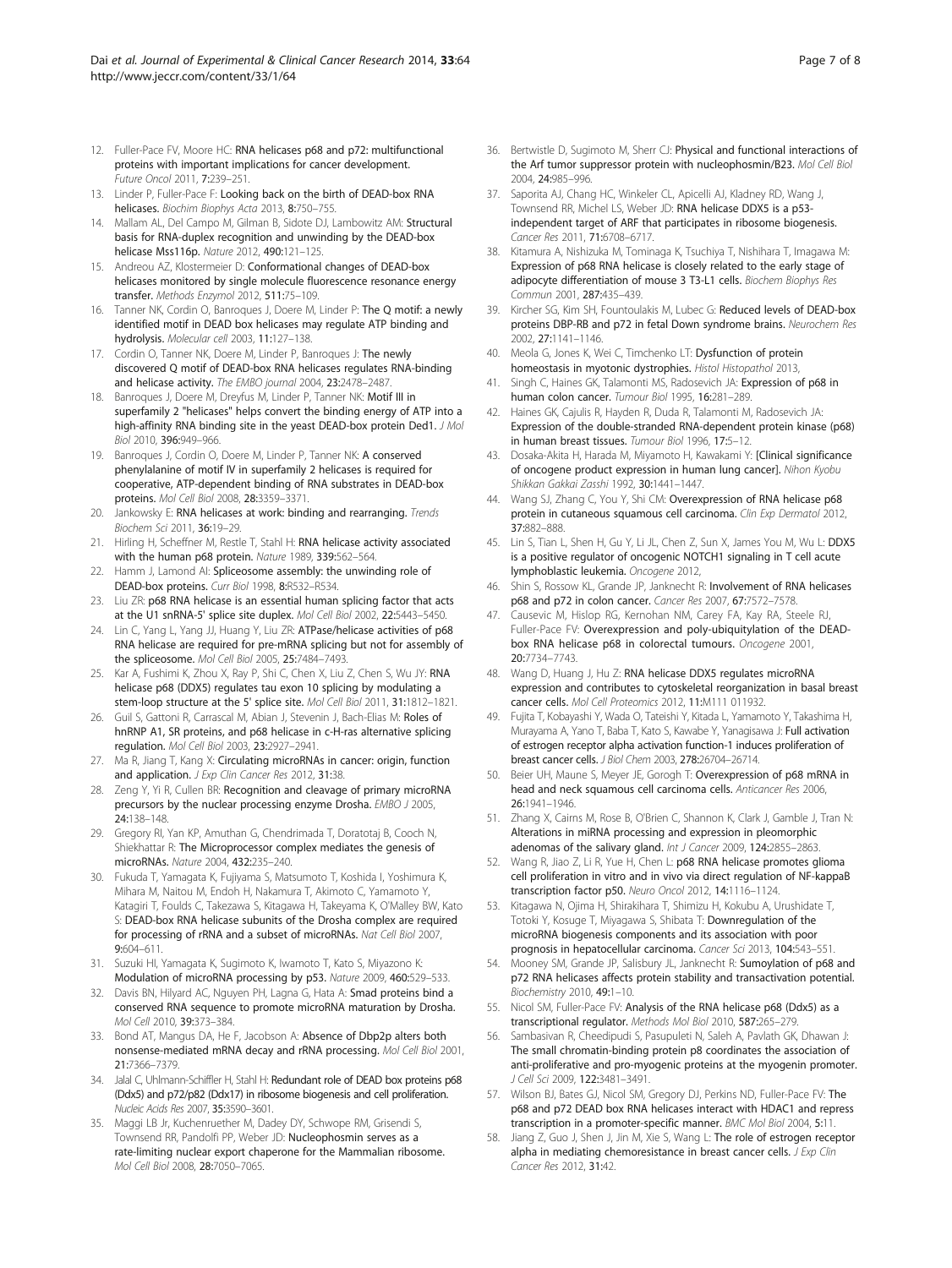- <span id="page-6-0"></span>12. Fuller-Pace FV, Moore HC: RNA helicases p68 and p72: multifunctional proteins with important implications for cancer development. Future Oncol 2011, 7:239–251.
- 13. Linder P, Fuller-Pace F: Looking back on the birth of DEAD-box RNA helicases. Biochim Biophys Acta 2013, 8:750–755.
- 14. Mallam AL, Del Campo M, Gilman B, Sidote DJ, Lambowitz AM: Structural basis for RNA-duplex recognition and unwinding by the DEAD-box helicase Mss116p. Nature 2012, 490:121–125.
- 15. Andreou AZ, Klostermeier D: Conformational changes of DEAD-box helicases monitored by single molecule fluorescence resonance energy transfer. Methods Enzymol 2012, 511:75–109.
- 16. Tanner NK, Cordin O, Banroques J, Doere M, Linder P: The Q motif: a newly identified motif in DEAD box helicases may regulate ATP binding and hydrolysis. Molecular cell 2003, 11:127–138.
- 17. Cordin O, Tanner NK, Doere M, Linder P, Banroques J: The newly discovered Q motif of DEAD-box RNA helicases regulates RNA-binding and helicase activity. The EMBO journal 2004, 23:2478–2487.
- 18. Banroques J, Doere M, Dreyfus M, Linder P, Tanner NK: Motif III in superfamily 2 "helicases" helps convert the binding energy of ATP into a high-affinity RNA binding site in the yeast DEAD-box protein Ded1. J Mol Biol 2010, 396:949–966.
- 19. Banroques J, Cordin O, Doere M, Linder P, Tanner NK: A conserved phenylalanine of motif IV in superfamily 2 helicases is required for cooperative, ATP-dependent binding of RNA substrates in DEAD-box proteins. Mol Cell Biol 2008, 28:3359–3371.
- 20. Jankowsky E: RNA helicases at work: binding and rearranging. Trends Biochem Sci 2011, 36:19–29.
- 21. Hirling H, Scheffner M, Restle T, Stahl H: RNA helicase activity associated with the human p68 protein. Nature 1989, 339:562–564.
- 22. Hamm J, Lamond AI: Spliceosome assembly: the unwinding role of DEAD-box proteins. Curr Biol 1998, 8:R532–R534.
- 23. Liu ZR: p68 RNA helicase is an essential human splicing factor that acts at the U1 snRNA-5' splice site duplex. Mol Cell Biol 2002, 22:5443–5450.
- 24. Lin C, Yang L, Yang JJ, Huang Y, Liu ZR: ATPase/helicase activities of p68 RNA helicase are required for pre-mRNA splicing but not for assembly of the spliceosome. Mol Cell Biol 2005, 25:7484–7493.
- 25. Kar A, Fushimi K, Zhou X, Ray P, Shi C, Chen X, Liu Z, Chen S, Wu JY: RNA helicase p68 (DDX5) regulates tau exon 10 splicing by modulating a stem-loop structure at the 5' splice site. Mol Cell Biol 2011, 31:1812–1821.
- 26. Guil S, Gattoni R, Carrascal M, Abian J, Stevenin J, Bach-Elias M: Roles of hnRNP A1, SR proteins, and p68 helicase in c-H-ras alternative splicing regulation. Mol Cell Biol 2003, 23:2927–2941.
- 27. Ma R, Jiang T, Kang X: Circulating microRNAs in cancer: origin, function and application. J Exp Clin Cancer Res 2012, 31:38.
- 28. Zeng Y, Yi R, Cullen BR: Recognition and cleavage of primary microRNA precursors by the nuclear processing enzyme Drosha. EMBO J 2005, 24:138–148.
- 29. Gregory RI, Yan KP, Amuthan G, Chendrimada T, Doratotaj B, Cooch N, Shiekhattar R: The Microprocessor complex mediates the genesis of microRNAs. Nature 2004, 432:235–240.
- 30. Fukuda T, Yamagata K, Fujiyama S, Matsumoto T, Koshida I, Yoshimura K, Mihara M, Naitou M, Endoh H, Nakamura T, Akimoto C, Yamamoto Y, Katagiri T, Foulds C, Takezawa S, Kitagawa H, Takeyama K, O'Malley BW, Kato S: DEAD-box RNA helicase subunits of the Drosha complex are required for processing of rRNA and a subset of microRNAs. Nat Cell Biol 2007, 9:604–611.
- 31. Suzuki HI, Yamagata K, Sugimoto K, Iwamoto T, Kato S, Miyazono K: Modulation of microRNA processing by p53. Nature 2009, 460:529–533.
- 32. Davis BN, Hilyard AC, Nguyen PH, Lagna G, Hata A: Smad proteins bind a conserved RNA sequence to promote microRNA maturation by Drosha. Mol Cell 2010, 39:373–384.
- 33. Bond AT, Mangus DA, He F, Jacobson A: Absence of Dbp2p alters both nonsense-mediated mRNA decay and rRNA processing. Mol Cell Biol 2001, 21:7366–7379.
- 34. Jalal C, Uhlmann-Schiffler H, Stahl H: Redundant role of DEAD box proteins p68 (Ddx5) and p72/p82 (Ddx17) in ribosome biogenesis and cell proliferation. Nucleic Acids Res 2007, 35:3590–3601.
- 35. Maggi LB Jr, Kuchenruether M, Dadey DY, Schwope RM, Grisendi S, Townsend RR, Pandolfi PP, Weber JD: Nucleophosmin serves as a rate-limiting nuclear export chaperone for the Mammalian ribosome. Mol Cell Biol 2008, 28:7050–7065.
- 36. Bertwistle D, Sugimoto M, Sherr CJ: Physical and functional interactions of the Arf tumor suppressor protein with nucleophosmin/B23. Mol Cell Biol 2004, 24:985–996.
- 37. Saporita AJ, Chang HC, Winkeler CL, Apicelli AJ, Kladney RD, Wang J, Townsend RR, Michel LS, Weber JD: RNA helicase DDX5 is a p53 independent target of ARF that participates in ribosome biogenesis. Cancer Res 2011, 71:6708–6717.
- 38. Kitamura A, Nishizuka M, Tominaga K, Tsuchiya T, Nishihara T, Imagawa M: Expression of p68 RNA helicase is closely related to the early stage of adipocyte differentiation of mouse 3 T3-L1 cells. Biochem Biophys Res Commun 2001, 287:435–439.
- 39. Kircher SG, Kim SH, Fountoulakis M, Lubec G: Reduced levels of DEAD-box proteins DBP-RB and p72 in fetal Down syndrome brains. Neurochem Res .<br>2002, **27:**1141-1146.
- 40. Meola G, Jones K, Wei C, Timchenko LT: Dysfunction of protein homeostasis in myotonic dystrophies. Histol Histopathol 2013,
- 41. Singh C, Haines GK, Talamonti MS, Radosevich JA: Expression of p68 in human colon cancer. Tumour Biol 1995, 16:281–289.
- 42. Haines GK, Cajulis R, Hayden R, Duda R, Talamonti M, Radosevich JA: Expression of the double-stranded RNA-dependent protein kinase (p68) in human breast tissues. Tumour Biol 1996, 17:5–12.
- 43. Dosaka-Akita H, Harada M, Miyamoto H, Kawakami Y: [Clinical significance of oncogene product expression in human lung cancer]. Nihon Kyobu Shikkan Gakkai Zasshi 1992, 30:1441–1447.
- 44. Wang SJ, Zhang C, You Y, Shi CM: Overexpression of RNA helicase p68 protein in cutaneous squamous cell carcinoma. Clin Exp Dermatol 2012, 37:882–888.
- 45. Lin S, Tian L, Shen H, Gu Y, Li JL, Chen Z, Sun X, James You M, Wu L: DDX5 is a positive regulator of oncogenic NOTCH1 signaling in T cell acute lymphoblastic leukemia. Oncogene 2012,
- 46. Shin S, Rossow KL, Grande JP, Janknecht R: Involvement of RNA helicases p68 and p72 in colon cancer. Cancer Res 2007, 67:7572–7578.
- 47. Causevic M, Hislop RG, Kernohan NM, Carey FA, Kay RA, Steele RJ, Fuller-Pace FV: Overexpression and poly-ubiquitylation of the DEADbox RNA helicase p68 in colorectal tumours. Oncogene 2001, 20:7734–7743.
- 48. Wang D, Huang J, Hu Z: RNA helicase DDX5 regulates microRNA expression and contributes to cytoskeletal reorganization in basal breast cancer cells. Mol Cell Proteomics 2012, 11:M111 011932.
- 49. Fujita T, Kobayashi Y, Wada O, Tateishi Y, Kitada L, Yamamoto Y, Takashima H, Murayama A, Yano T, Baba T, Kato S, Kawabe Y, Yanagisawa J: Full activation of estrogen receptor alpha activation function-1 induces proliferation of breast cancer cells. J Biol Chem 2003, 278:26704–26714.
- 50. Beier UH, Maune S, Meyer JE, Gorogh T: Overexpression of p68 mRNA in head and neck squamous cell carcinoma cells. Anticancer Res 2006, 26:1941–1946.
- 51. Zhang X, Cairns M, Rose B, O'Brien C, Shannon K, Clark J, Gamble J, Tran N: Alterations in miRNA processing and expression in pleomorphic adenomas of the salivary gland. Int J Cancer 2009, 124:2855-2863
- Wang R, Jiao Z, Li R, Yue H, Chen L: p68 RNA helicase promotes glioma cell proliferation in vitro and in vivo via direct regulation of NF-kappaB transcription factor p50. Neuro Oncol 2012, 14:1116–1124.
- 53. Kitagawa N, Ojima H, Shirakihara T, Shimizu H, Kokubu A, Urushidate T, Totoki Y, Kosuge T, Miyagawa S, Shibata T: Downregulation of the microRNA biogenesis components and its association with poor prognosis in hepatocellular carcinoma. Cancer Sci 2013, 104:543–551.
- Mooney SM, Grande JP, Salisbury JL, Janknecht R: Sumoylation of p68 and p72 RNA helicases affects protein stability and transactivation potential. Biochemistry 2010, 49:1–10.
- 55. Nicol SM, Fuller-Pace FV: Analysis of the RNA helicase p68 (Ddx5) as a transcriptional regulator. Methods Mol Biol 2010, 587:265–279.
- 56. Sambasivan R, Cheedipudi S, Pasupuleti N, Saleh A, Pavlath GK, Dhawan J: The small chromatin-binding protein p8 coordinates the association of anti-proliferative and pro-myogenic proteins at the myogenin promoter. J Cell Sci 2009, 122:3481–3491.
- 57. Wilson BJ, Bates GJ, Nicol SM, Gregory DJ, Perkins ND, Fuller-Pace FV: The p68 and p72 DEAD box RNA helicases interact with HDAC1 and repress transcription in a promoter-specific manner. BMC Mol Biol 2004, 5:11.
- 58. Jiang Z, Guo J, Shen J, Jin M, Xie S, Wang L: The role of estrogen receptor alpha in mediating chemoresistance in breast cancer cells. J Exp Clin Cancer Res 2012, 31:42.